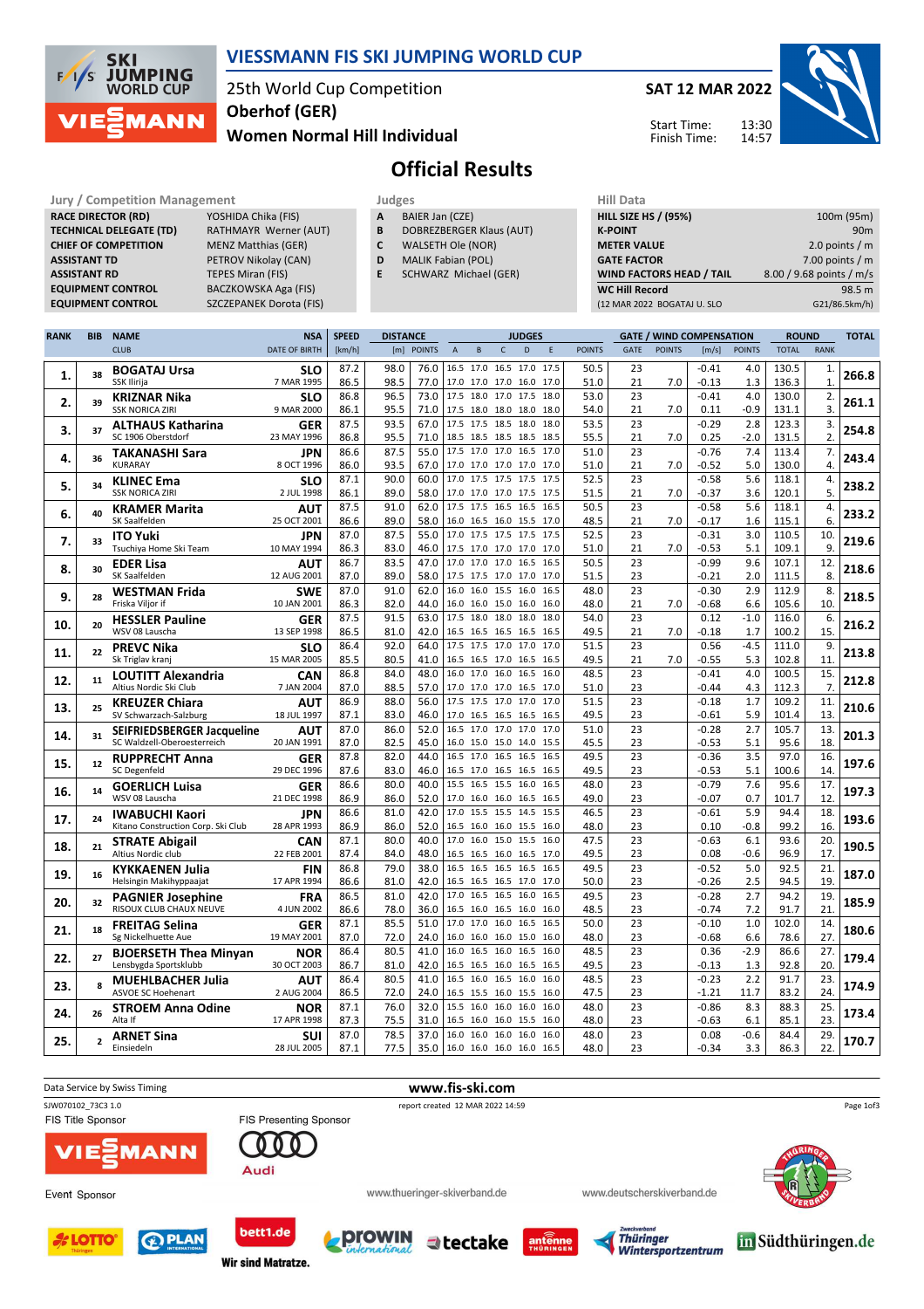

### VIESSMANN FIS SKI JUMPING WORLD CUP

#### 25th World Cup Competition Women Normal Hill Individual Oberhof (GER)

SAT 12 MAR 2022

Start Time: Finish Time:



# Official Results

Jury / Competition Management<br> **RACE DIRECTOR (RD)** YOSHIDA Chika (FIS) **A** BAIER Jan (CZE) **HILL SIZE HILL SIZE HILL SIZE HILL SIZE HILL SIZE HILL SIZE HILL SIZE HILL SIZE HILL SIZE HILL SIZE HILL SIZE HILL SIZE HILL SIZE** RACE DIRECTOR (RD) **TECHNICAL DELEGATE (TD)** RATHMAYR Werner (AUT)<br>**CHIEF OF COMPETITION** MENZ Matthias (GER) CHIEF OF COMPETITION ASSISTANT TD PETROV Nikolay (CAN) **ASSISTANT RD** TEPES Miran (FIS)<br> **EQUIPMENT CONTROL** BACZKOWSKA Aga

BACZKOWSKA Aga (FIS) EQUIPMENT CONTROL SZCZEPANEK Dorota (FIS)

**Wir sind Matratze.** 

|  | $-$ |  |  |  |  |
|--|-----|--|--|--|--|
|  |     |  |  |  |  |

- A BAIER Jan (CZE)
- **B** DOBREZBERGER Klaus (AUT)<br>**C** WALSETH Ole (NOR) WALSETH Ole (NOR)
- D MALIK Fabian (POL)
- E SCHWARZ Michael (GER)
- 

| нш рата                         |                          |
|---------------------------------|--------------------------|
| <b>HILL SIZE HS / (95%)</b>     | 100m (95m)               |
| <b>K-POINT</b>                  | 90m                      |
| <b>METER VALUE</b>              | 2.0 points $/m$          |
| <b>GATE FACTOR</b>              | 7.00 points $/m$         |
| <b>WIND FACTORS HEAD / TAIL</b> | 8.00 / 9.68 points / m/s |
| <b>WC Hill Record</b>           | 98.5 m                   |
| (12 MAR 2022 BOGATAJ U. SLO     | G21/86.5km/h)            |

13:30 14:57

| <b>RANK</b> | <b>BIB</b>     | <b>NAME</b>                                                 | <b>SPEED</b><br><b>DISTANCE</b><br><b>NSA</b><br><b>JUDGES</b> |              |              |              |                          |                                            |              |      | <b>GATE / WIND COMPENSATION</b> |               | <b>ROUND</b> |               | <b>TOTAL</b>       |               |                |              |       |
|-------------|----------------|-------------------------------------------------------------|----------------------------------------------------------------|--------------|--------------|--------------|--------------------------|--------------------------------------------|--------------|------|---------------------------------|---------------|--------------|---------------|--------------------|---------------|----------------|--------------|-------|
|             |                | <b>CLUB</b>                                                 | <b>DATE OF BIRTH</b>                                           | [km/h]       |              | [m] POINTS   | $\overline{A}$           | B                                          | $\mathsf{C}$ | D    | F                               | <b>POINTS</b> | <b>GATE</b>  | <b>POINTS</b> | [m/s]              | <b>POINTS</b> | <b>TOTAL</b>   | <b>RANK</b>  |       |
|             |                | <b>BOGATAJ Ursa</b>                                         | <b>SLO</b>                                                     | 87.2         | 98.0         | 76.0         |                          | 16.5 17.0 16.5 17.0                        |              |      | 17.5                            | 50.5          | 23           |               | $-0.41$            | 4.0           | 130.5          | 1.           |       |
| 1.          | 38             | SSK Ilirija                                                 | 7 MAR 1995                                                     | 86.5         | 98.5         | 77.0         |                          | 17.0 17.0 17.0 16.0                        |              |      | 17.0                            | 51.0          | 21           | 7.0           | -0.13              | 1.3           | 136.3          | $\mathbf{1}$ | 266.8 |
|             | 39             | KRIZNAR Nika                                                | SLO                                                            | 86.8         | 96.5         | 73.0         |                          | 17.5 18.0 17.0 17.5                        |              |      | 18.0                            | 53.0          | 23           |               | $-0.41$            | 4.0           | 130.0          | 2.           |       |
| 2.          |                | <b>SSK NORICA ZIRI</b>                                      | 9 MAR 2000                                                     | 86.1         | 95.5         | 71.0         |                          | 17.5 18.0 18.0 18.0                        |              |      | 18.0                            | 54.0          | 21           | 7.0           | 0.11               | $-0.9$        | 131.1          | 3.           | 261.1 |
| 3.          | 37             | <b>ALTHAUS Katharina</b>                                    | <b>GER</b>                                                     | 87.5         | 93.5         | 67.0         |                          | 17.5 17.5 18.5 18.0                        |              |      | 18.0                            | 53.5          | 23           |               | $-0.29$            | 2.8           | 123.3          | 3.           | 254.8 |
|             |                | SC 1906 Oberstdorf                                          | 23 MAY 1996                                                    | 86.8         | 95.5         | 71.0         |                          | 18.5 18.5 18.5 18.5                        |              |      | 18.5                            | 55.5          | 21           | 7.0           | 0.25               | $-2.0$        | 131.5          | 2.           |       |
| 4.          | 36             | <b>TAKANASHI Sara</b>                                       | JPN                                                            | 86.6         | 87.5         | 55.0         |                          | 17.5 17.0 17.0 16.5                        |              |      | 17.0                            | 51.0          | 23           |               | $-0.76$            | 7.4           | 113.4          | 7.           | 243.4 |
|             |                | <b>KURARAY</b>                                              | 8 OCT 1996                                                     | 86.0         | 93.5         | 67.0         |                          | 17.0 17.0 17.0 17.0                        |              |      | 17.0                            | 51.0          | 21           | 7.0           | $-0.52$            | 5.0           | 130.0          | 4.           |       |
| 5.          | 34             | <b>KLINEC Ema</b><br><b>SSK NORICA ZIRI</b>                 | <b>SLO</b><br>2 JUL 1998                                       | 87.1         | 90.0         | 60.0         |                          | 17.0 17.5 17.5 17.5                        |              |      | 17.5                            | 52.5          | 23           |               | $-0.58$            | 5.6           | 118.1          | 4.           | 238.2 |
|             |                |                                                             |                                                                | 86.1<br>87.5 | 89.0<br>91.0 | 58.0<br>62.0 |                          | 17.0 17.0 17.0 17.5<br>17.5 17.5 16.5 16.5 |              |      | 17.5<br>16.5                    | 51.5<br>50.5  | 21<br>23     | 7.0           | $-0.37$<br>$-0.58$ | 3.6<br>5.6    | 120.1<br>118.1 | 5.<br>4.     |       |
| 6.          | 40             | <b>KRAMER Marita</b><br>SK Saalfelden                       | AUT<br>25 OCT 2001                                             | 86.6         | 89.0         | 58.0         |                          | 16.0 16.5 16.0 15.5                        |              |      | 17.0                            | 48.5          | 21           | 7.0           | $-0.17$            | 1.6           | 115.1          | 6.           | 233.2 |
|             |                | <b>ITO Yuki</b>                                             | JPN                                                            | 87.0         | 87.5         | 55.0         |                          | 17.0 17.5 17.5 17.5                        |              |      | 17.5                            | 52.5          | 23           |               | $-0.31$            | 3.0           | 110.5          | 10.          |       |
| 7.          | 33             | Tsuchiya Home Ski Team                                      | 10 MAY 1994                                                    | 86.3         | 83.0         | 46.0         |                          | 17.5 17.0 17.0 17.0                        |              |      | 17.0                            | 51.0          | 21           | 7.0           | $-0.53$            | 5.1           | 109.1          | 9.           | 219.6 |
|             |                | <b>EDER Lisa</b>                                            | AUT                                                            | 86.7         | 83.5         | 47.0         |                          | 17.0 17.0 17.0 16.5                        |              |      | 16.5                            | 50.5          | 23           |               | $-0.99$            | 9.6           | 107.1          | 12.          |       |
| 8.          | 30             | SK Saalfelden                                               | 12 AUG 2001                                                    | 87.0         | 89.0         | 58.0         |                          | 17.5 17.5 17.0 17.0                        |              |      | 17.0                            | 51.5          | 23           |               | $-0.21$            | 2.0           | 111.5          | 8.           | 218.6 |
|             |                | <b>WESTMAN Frida</b>                                        | <b>SWE</b>                                                     | 87.0         | 91.0         | 62.0         |                          | 16.0 16.0 15.5 16.0                        |              |      | 16.5                            | 48.0          | 23           |               | $-0.30$            | 2.9           | 112.9          | 8.           |       |
| 9.          | 28             | Friska Vilior if                                            | 10 JAN 2001                                                    | 86.3         | 82.0         | 44.0         |                          | 16.0 16.0 15.0 16.0                        |              |      | 16.0                            | 48.0          | 21           | 7.0           | $-0.68$            | 6.6           | 105.6          | 10.          | 218.5 |
|             |                | <b>HESSLER Pauline</b>                                      | <b>GER</b>                                                     | 87.5         | 91.5         | 63.0         | 17.5                     | 18.0 18.0                                  |              | 18.0 | 18.0                            | 54.0          | 23           |               | 0.12               | $-1.0$        | 116.0          | 6.           |       |
| 10.         | 20             | WSV 08 Lauscha                                              | 13 SEP 1998                                                    | 86.5         | 81.0         | 42.0         |                          | 16.5 16.5 16.5 16.5                        |              |      | 16.5                            | 49.5          | 21           | 7.0           | -0.18              | 1.7           | 100.2          | 15.          | 216.2 |
|             | 22             | <b>PREVC Nika</b>                                           | SLO                                                            | 86.4         | 92.0         | 64.0         |                          | 17.5 17.5 17.0 17.0                        |              |      | 17.0                            | 51.5          | 23           |               | 0.56               | $-4.5$        | 111.0          | 9.           | 213.8 |
| 11.         |                | Sk Triglav kranj                                            | 15 MAR 2005                                                    | 85.5         | 80.5         | 41.0         |                          | 16.5 16.5 17.0 16.5                        |              |      | 16.5                            | 49.5          | 21           | 7.0           | -0.55              | 5.3           | 102.8          | 11.          |       |
| 12.         | 11             | <b>LOUTITT Alexandria</b>                                   | CAN                                                            | 86.8         | 84.0         | 48.0         |                          | 16.0 17.0 16.0 16.5                        |              |      | 16.0                            | 48.5          | 23           |               | $-0.41$            | 4.0           | 100.5          | 15.          | 212.8 |
|             |                | Altius Nordic Ski Club                                      | 7 JAN 2004                                                     | 87.0         | 88.5         | 57.0         |                          | 17.0 17.0 17.0 16.5                        |              |      | 17.0                            | 51.0          | 23           |               | $-0.44$            | 4.3           | 112.3          | 7.           |       |
| 13.         | 25             | <b>KREUZER Chiara</b>                                       | AUT                                                            | 86.9         | 88.0         | 56.0         |                          | 17.5 17.5 17.0                             |              | 17.0 | 17.0                            | 51.5          | 23           |               | $-0.18$            | 1.7           | 109.2          | 11.          | 210.6 |
|             |                | SV Schwarzach-Salzburg                                      | 18 JUL 1997                                                    | 87.1         | 83.0         | 46.0         |                          | 17.0 16.5 16.5 16.5                        |              |      | 16.5                            | 49.5          | 23           |               | $-0.61$            | 5.9           | 101.4          | 13.          |       |
| 14.         | 31             | SEIFRIEDSBERGER Jacqueline                                  | AUT                                                            | 87.0         | 86.0         | 52.0         | 16.5                     | 17.0 17.0 17.0                             |              |      | 17.0                            | 51.0          | 23           |               | $-0.28$            | 2.7           | 105.7          | 13.          | 201.3 |
|             |                | SC Waldzell-Oberoesterreich                                 | 20 JAN 1991                                                    | 87.0         | 82.5         | 45.0         |                          | 16.0 15.0 15.0 14.0                        |              |      | 15.5                            | 45.5          | 23           |               | $-0.53$            | 5.1           | 95.6           | 18.          |       |
| 15.         | 12             | <b>RUPPRECHT Anna</b>                                       | <b>GER</b>                                                     | 87.8         | 82.0         | 44.0         |                          | 16.5 17.0 16.5 16.5                        |              |      | 16.5                            | 49.5          | 23           |               | $-0.36$            | 3.5           | 97.0           | 16.          | 197.6 |
|             |                | SC Degenfeld                                                | 29 DEC 1996                                                    | 87.6<br>86.6 | 83.0<br>80.0 | 46.0<br>40.0 | 15.5                     | 16.5 17.0 16.5 16.5<br>16.5 15.5 16.0      |              |      | 16.5<br>16.5                    | 49.5<br>48.0  | 23<br>23     |               | -0.53<br>$-0.79$   | 5.1<br>7.6    | 100.6<br>95.6  | 14<br>17.    |       |
| 16.         | 14             | <b>GOERLICH Luisa</b><br>WSV 08 Lauscha                     | <b>GER</b><br>21 DEC 1998                                      | 86.9         | 86.0         | 52.0         |                          | 17.0 16.0 16.0 16.5                        |              |      | 16.5                            | 49.0          | 23           |               | $-0.07$            | 0.7           | 101.7          | 12.          | 197.3 |
|             |                |                                                             |                                                                | 86.6         | 81.0         | 42.0         | 17.0                     | 15.5 15.5 14.5                             |              |      | 15.5                            | 46.5          | 23           |               | $-0.61$            | 5.9           | 94.4           | 18.          |       |
| 17.         | 24             | <b>IWABUCHI Kaori</b><br>Kitano Construction Corp. Ski Club | JPN<br>28 APR 1993                                             | 86.9         | 86.0         | 52.0         |                          | 16.5 16.0 16.0 15.5                        |              |      | 16.0                            | 48.0          | 23           |               | 0.10               | $-0.8$        | 99.2           | 16.          | 193.6 |
|             |                | <b>STRATE Abigail</b>                                       | <b>CAN</b>                                                     | 87.1         | 80.0         | 40.0         | 17.0                     | 16.0 15.0 15.5                             |              |      | 16.0                            | 47.5          | 23           |               | $-0.63$            | 6.1           | 93.6           | 20.          |       |
| 18.         | 21             | Altius Nordic club                                          | 22 FEB 2001                                                    | 87.4         | 84.0         | 48.0         |                          | 16.5 16.5 16.0 16.5                        |              |      | 17.0                            | 49.5          | 23           |               | 0.08               | $-0.6$        | 96.9           | 17.          | 190.5 |
|             |                | <b>KYKKAENEN Julia</b>                                      | <b>FIN</b>                                                     | 86.8         | 79.0         | 38.0         |                          | 16.5 16.5 16.5 16.5                        |              |      | 16.5                            | 49.5          | 23           |               | $-0.52$            | 5.0           | 92.5           | 21.          |       |
| 19.         | 16             | Helsingin Makihyppaajat                                     | 17 APR 1994                                                    | 86.6         | 81.0         | 42.0         | 16.5                     | 16.5 16.5 17.0                             |              |      | 17.0                            | 50.0          | 23           |               | $-0.26$            | 2.5           | 94.5           | 19.          | 187.0 |
|             |                | <b>PAGNIER Josephine</b>                                    | FRA                                                            | 86.5         | 81.0         | 42.0         | 17.0                     | 16.5 16.5 16.0                             |              |      | 16.5                            | 49.5          | 23           |               | $-0.28$            | 2.7           | 94.2           | 19.          |       |
| 20.         | 32             | RISOUX CLUB CHAUX NEUVE                                     | 4 JUN 2002                                                     | 86.6         | 78.0         | 36.0         |                          | 16.5 16.0 16.5 16.0                        |              |      | 16.0                            | 48.5          | 23           |               | $-0.74$            | 7.2           | 91.7           | 21.          | 185.9 |
|             | 18             | <b>FREITAG Selina</b>                                       | <b>GER</b>                                                     | 87.1         | 85.5         | 51.0         | 17.0                     | 17.0                                       | 16.0         | 16.5 | 16.5                            | 50.0          | 23           |               | $-0.10$            | 1.0           | 102.0          | 14.          | 180.6 |
| 21.         |                | Sg Nickelhuette Aue                                         | 19 MAY 2001                                                    | 87.0         | 72.0         | 24.0         | 16.0                     | 16.0 16.0 15.0                             |              |      | 16.0                            | 48.0          | 23           |               | -0.68              | 6.6           | 78.6           | 27.          |       |
| 22.         | 27             | <b>BJOERSETH Thea Minyan</b>                                | <b>NOR</b>                                                     | 86.4         | 80.5         | 41.0         |                          | 16.0 16.5 16.0 16.5                        |              |      | 16.0                            | 48.5          | 23           |               | 0.36               | $-2.9$        | 86.6           | 27.          | 179.4 |
|             |                | Lensbygda Sportsklubb                                       | 30 OCT 2003                                                    | 86.7         | 81.0         | 42.0         |                          | 16.5 16.5 16.0 16.5                        |              |      | 16.5                            | 49.5          | 23           |               | $-0.13$            | 1.3           | 92.8           | 20.          |       |
| 23.         | 8              | <b>MUEHLBACHER Julia</b>                                    | <b>AUT</b>                                                     | 86.4         | 80.5         | 41.0         | 16.5                     | 16.0 16.5 16.0                             |              |      | 16.0                            | 48.5          | 23           |               | $-0.23$            | 2.2           | 91.7           | 23.          | 174.9 |
|             |                | <b>ASVOE SC Hoehenart</b>                                   | 2 AUG 2004                                                     | 86.5         | 72.0         | 24.0         |                          | 16.5 15.5 16.0 15.5                        |              |      | 16.0                            | 47.5          | 23           |               | $-1.21$            | 11.7          | 83.2           | 24.          |       |
| 24.         | 26             | <b>STROEM Anna Odine</b>                                    | <b>NOR</b>                                                     | 87.1         | 76.0         | 32.0         | 15.5                     | 16.0                                       | 16.0         | 16.0 | 16.0                            | 48.0          | 23           |               | $-0.86$            | 8.3           | 88.3           | 25.          | 173.4 |
|             |                | Alta If                                                     | 17 APR 1998                                                    | 87.3         | 75.5         | 31.0         |                          | 16.5 16.0 16.0 15.5                        |              |      | 16.0                            | 48.0          | 23           |               | $-0.63$            | 6.1           | 85.1           | 23.          |       |
| 25.         | $\overline{2}$ | <b>ARNET Sina</b>                                           | suı                                                            | 87.0         | 78.5         | 37.0         | 16.0                     | 16.0 16.0                                  |              | 16.0 | 16.0                            | 48.0          | 23           |               | 0.08               | $-0.6$        | 84.4           | 29.          | 170.7 |
|             |                | Einsiedeln                                                  | 28 JUL 2005                                                    | 87.1         | 77.5         |              | 35.0 16.0 16.0 16.0 16.0 |                                            |              |      | 16.5                            | 48.0          | 23           |               | $-0.34$            | 3.3           | 86.3           | 22.          |       |

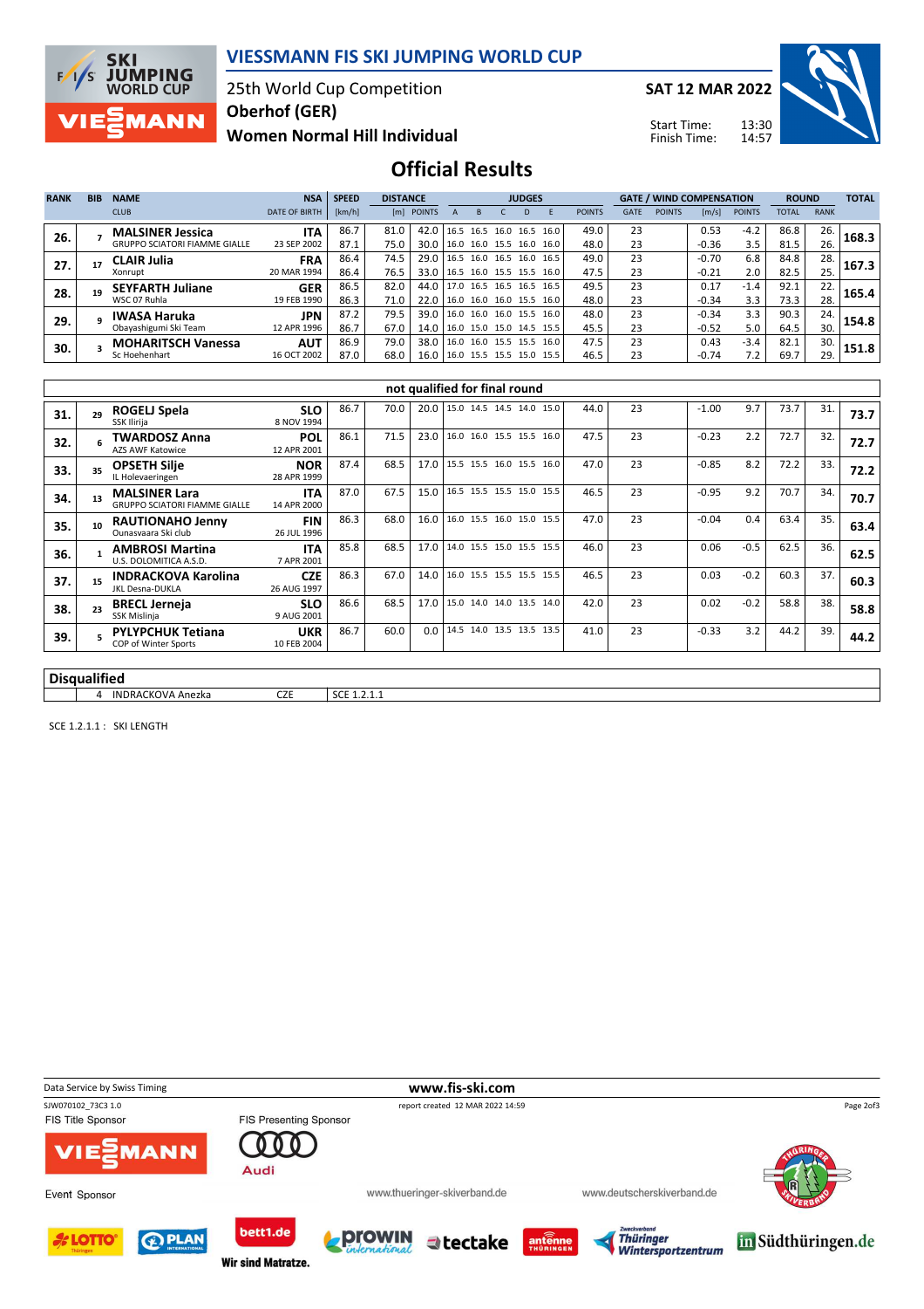

#### VIESSMANN FIS SKI JUMPING WORLD CUP

25th World Cup Competition Oberhof (GER)

Women Normal Hill Individual

SAT 12 MAR 2022

Start Time: Finish Time:



Official Results

| <b>RANK</b> | <b>BIB</b> | <b>NAME</b>                                                     | <b>NSA</b>                | <b>SPEED</b> | <b>DISTANCE</b> |              |      | <b>JUDGES</b>                                   |  |    |                          |               | <b>GATE / WIND COMPENSATION</b> |               |                    |               | <b>ROUND</b> |             | <b>TOTAL</b> |
|-------------|------------|-----------------------------------------------------------------|---------------------------|--------------|-----------------|--------------|------|-------------------------------------------------|--|----|--------------------------|---------------|---------------------------------|---------------|--------------------|---------------|--------------|-------------|--------------|
|             |            | <b>CLUB</b>                                                     | <b>DATE OF BIRTH</b>      | [km/h]       |                 | [m] POINTS   |      |                                                 |  | D. |                          | <b>POINTS</b> | <b>GATE</b>                     | <b>POINTS</b> | [m/s]              | <b>POINTS</b> | <b>TOTAL</b> | <b>RANK</b> |              |
| 26.         |            | <b>MALSINER Jessica</b><br><b>GRUPPO SCIATORI FIAMME GIALLE</b> | <b>ITA</b><br>23 SEP 2002 | 86.7<br>87.1 | 81.0<br>75.0    | 42.0<br>30.0 |      | 16.0 16.0 15.5 16.0 16.0                        |  |    | 16.5 16.5 16.0 16.5 16.0 | 49.0<br>48.0  | 23<br>23                        |               | 0.53<br>$-0.36$    | $-4.2$<br>3.5 | 86.8<br>81.5 | 26.<br>26.  | 168.3        |
| 27.         |            | <b>CLAIR Julia</b>                                              | <b>FRA</b>                | 86.4         | 74.5            | 29.0         |      | 16.5 16.0 16.5 16.0                             |  |    | 16.5                     | 49.0          | 23                              |               | $-0.70$            | 6.8           | 84.8         | 28.         | 167.3        |
|             |            | Xonrupt                                                         | 20 MAR 1994               | 86.4         | 76.5            | 33.0         |      | 16.5 16.0 15.5 15.5                             |  |    | 16.0                     | 47.5          | 23                              |               | $-0.21$            | 2.0           | 82.5         | 25.         |              |
| 28.         |            | <b>SEYFARTH Juliane</b><br>WSC 07 Ruhla                         | <b>GER</b><br>19 FEB 1990 | 86.5<br>86.3 | 82.0<br>71.0    | 44.0<br>22.0 |      | 17.0 16.5 16.5 16.5<br>16.0 16.0 16.0 15.5 16.0 |  |    | 16.5                     | 49.5<br>48.0  | 23<br>23                        |               | 0.17<br>$-0.34$    | $-1.4$<br>3.3 | 92.1<br>73.3 | 22.<br>28.  | 165.4        |
| 29.         |            | <b>IWASA Haruka</b><br>Obayashigumi Ski Team                    | <b>JPN</b><br>12 APR 1996 | 87.2<br>86.7 | 79.5<br>67.0    | 39.0<br>14.0 | 16.0 | 16.0 16.0 15.5 16.0<br>16.0 15.0 15.0 14.5 15.5 |  |    |                          | 48.0<br>45.5  | 23<br>23                        |               | $-0.34$<br>$-0.52$ | 3.3<br>5.0    | 90.3<br>64.5 | 24.<br>30.  | 154.8        |
| 30.         |            | <b>MOHARITSCH Vanessa</b>                                       | <b>AUT</b>                | 86.9         | 79.0            | 38.0         | 16.0 | 16.0 15.5 15.5                                  |  |    | 16.0                     | 47.5          | 23                              |               | 0.43               | $-3.4$        | 82.1         | 30.         | 151.8        |
|             |            | Sc Hoehenhart                                                   | 16 OCT 2002               | 87.0         | 68.0            | 16.0         |      | 16.0 15.5 15.5 15.0 15.5                        |  |    |                          | 46.5          | 23                              |               | $-0.74$            | 7.2           | 69.7         | 29.         |              |

|                   | not qualified for final round |                                                              |                           |      |      |      |                          |  |  |      |    |         |        |      |     |      |
|-------------------|-------------------------------|--------------------------------------------------------------|---------------------------|------|------|------|--------------------------|--|--|------|----|---------|--------|------|-----|------|
| 31.               | 29                            | ROGELJ Spela<br>SSK Ilirija                                  | <b>SLO</b><br>8 NOV 1994  | 86.7 | 70.0 | 20.0 | 15.0 14.5 14.5 14.0 15.0 |  |  | 44.0 | 23 | $-1.00$ | 9.7    | 73.7 | 31. | 73.7 |
| 32.               |                               | TWARDOSZ Anna<br><b>AZS AWF Katowice</b>                     | <b>POL</b><br>12 APR 2001 | 86.1 | 71.5 | 23.0 | 16.0 16.0 15.5 15.5 16.0 |  |  | 47.5 | 23 | $-0.23$ | 2.2    | 72.7 | 32. | 72.7 |
| 33.               | 35                            | <b>OPSETH Silje</b><br>IL Holevaeringen                      | <b>NOR</b><br>28 APR 1999 | 87.4 | 68.5 | 17.0 | 15.5 15.5 16.0 15.5 16.0 |  |  | 47.0 | 23 | $-0.85$ | 8.2    | 72.2 | 33. | 72.2 |
| 34.               | 13                            | <b>MALSINER Lara</b><br><b>GRUPPO SCIATORI FIAMME GIALLE</b> | <b>ITA</b><br>14 APR 2000 | 87.0 | 67.5 | 15.0 | 16.5 15.5 15.5 15.0 15.5 |  |  | 46.5 | 23 | $-0.95$ | 9.2    | 70.7 | 34. | 70.7 |
| 35.               | 10                            | <b>RAUTIONAHO Jenny</b><br>Ounasyaara Ski club               | <b>FIN</b><br>26 JUL 1996 | 86.3 | 68.0 | 16.0 | 16.0 15.5 16.0 15.0 15.5 |  |  | 47.0 | 23 | $-0.04$ | 0.4    | 63.4 | 35. | 63.4 |
| 36.               |                               | <b>AMBROSI Martina</b><br>U.S. DOLOMITICA A.S.D.             | <b>ITA</b><br>7 APR 2001  | 85.8 | 68.5 | 17.0 | 14.0 15.5 15.0 15.5 15.5 |  |  | 46.0 | 23 | 0.06    | $-0.5$ | 62.5 | 36. | 62.5 |
| 37.               | 15                            | <b>INDRACKOVA Karolina</b><br><b>JKL Desna-DUKLA</b>         | <b>CZE</b><br>26 AUG 1997 | 86.3 | 67.0 | 14.0 | 16.0 15.5 15.5 15.5 15.5 |  |  | 46.5 | 23 | 0.03    | $-0.2$ | 60.3 | 37. | 60.3 |
| 38.               | 23                            | <b>BRECL Jerneja</b><br>SSK Mislinja                         | <b>SLO</b><br>9 AUG 2001  | 86.6 | 68.5 | 17.0 | 15.0 14.0 14.0 13.5 14.0 |  |  | 42.0 | 23 | 0.02    | $-0.2$ | 58.8 | 38. | 58.8 |
| 39.               |                               | <b>PYLYPCHUK Tetiana</b><br>COP of Winter Sports             | <b>UKR</b><br>10 FEB 2004 | 86.7 | 60.0 | 0.0  | 14.5 14.0 13.5 13.5 13.5 |  |  | 41.0 | 23 | $-0.33$ | 3.2    | 44.2 | 39. | 44.2 |
|                   |                               |                                                              |                           |      |      |      |                          |  |  |      |    |         |        |      |     |      |
| الممثلا المريسمات |                               |                                                              |                           |      |      |      |                          |  |  |      |    |         |        |      |     |      |

#### Disqualified

4 INDRACKOVA Anezka<br>
CZE SCE 1.2.1.1

SCE 1.2.1.1 : SKI LENGTH